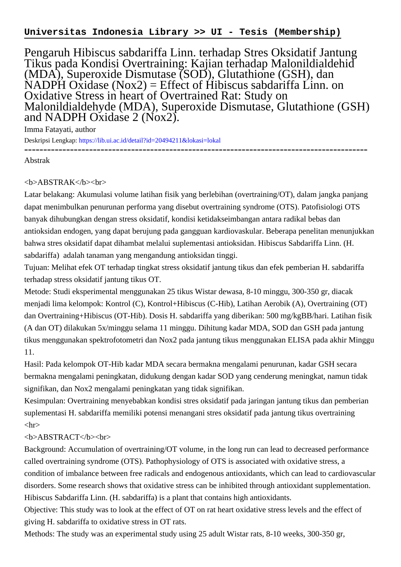## **Universitas Indonesia Library >> UI - Tesis (Membership)**

Pengaruh Hibiscus sabdariffa Linn. terhadap Stres Oksidatif Jantung Tikus pada Kondisi Overtraining: Kajian terhadap Malonildialdehid (MDA), Superoxide Dismutase (SOD), Glutathione (GSH), dan  $NADPH Oxidase (Nox2) = Effect of Hibiscus sabdariff a Linn.$  on Oxidative Stress in heart of Overtrained Rat: Study on Malonildialdehyde (MDA), Superoxide Dismutase, Glutathione (GSH) and NADPH Oxidase 2 (Nox2).

Imma Fatayati, author

Deskripsi Lengkap:<https://lib.ui.ac.id/detail?id=20494211&lokasi=lokal> ------------------------------------------------------------------------------------------

Abstrak

## <b>ABSTRAK</b><br>

Latar belakang: Akumulasi volume latihan fisik yang berlebihan (overtraining/OT), dalam jangka panjang dapat menimbulkan penurunan performa yang disebut overtraining syndrome (OTS). Patofisiologi OTS banyak dihubungkan dengan stress oksidatif, kondisi ketidakseimbangan antara radikal bebas dan antioksidan endogen, yang dapat berujung pada gangguan kardiovaskular. Beberapa penelitan menunjukkan bahwa stres oksidatif dapat dihambat melalui suplementasi antioksidan. Hibiscus Sabdariffa Linn. (H. sabdariffa) adalah tanaman yang mengandung antioksidan tinggi.

Tujuan: Melihat efek OT terhadap tingkat stress oksidatif jantung tikus dan efek pemberian H. sabdariffa terhadap stress oksidatif jantung tikus OT.

Metode: Studi eksperimental menggunakan 25 tikus Wistar dewasa, 8-10 minggu, 300-350 gr, diacak menjadi lima kelompok: Kontrol (C), Kontrol+Hibiscus (C-Hib), Latihan Aerobik (A), Overtraining (OT) dan Overtraining+Hibiscus (OT-Hib). Dosis H. sabdariffa yang diberikan: 500 mg/kgBB/hari. Latihan fisik (A dan OT) dilakukan 5x/minggu selama 11 minggu. Dihitung kadar MDA, SOD dan GSH pada jantung tikus menggunakan spektrofotometri dan Nox2 pada jantung tikus menggunakan ELISA pada akhir Minggu 11.

Hasil: Pada kelompok OT-Hib kadar MDA secara bermakna mengalami penurunan, kadar GSH secara bermakna mengalami peningkatan, didukung dengan kadar SOD yang cenderung meningkat, namun tidak signifikan, dan Nox2 mengalami peningkatan yang tidak signifikan.

Kesimpulan: Overtraining menyebabkan kondisi stres oksidatif pada jaringan jantung tikus dan pemberian suplementasi H. sabdariffa memiliki potensi menangani stres oksidatif pada jantung tikus overtraining  $\langle$ hr $>$ 

## <b>ABSTRACT</b><br>

Background: Accumulation of overtraining/OT volume, in the long run can lead to decreased performance called overtraining syndrome (OTS). Pathophysiology of OTS is associated with oxidative stress, a condition of imbalance between free radicals and endogenous antioxidants, which can lead to cardiovascular disorders. Some research shows that oxidative stress can be inhibited through antioxidant supplementation. Hibiscus Sabdariffa Linn. (H. sabdariffa) is a plant that contains high antioxidants.

Objective: This study was to look at the effect of OT on rat heart oxidative stress levels and the effect of giving H. sabdariffa to oxidative stress in OT rats.

Methods: The study was an experimental study using 25 adult Wistar rats, 8-10 weeks, 300-350 gr,